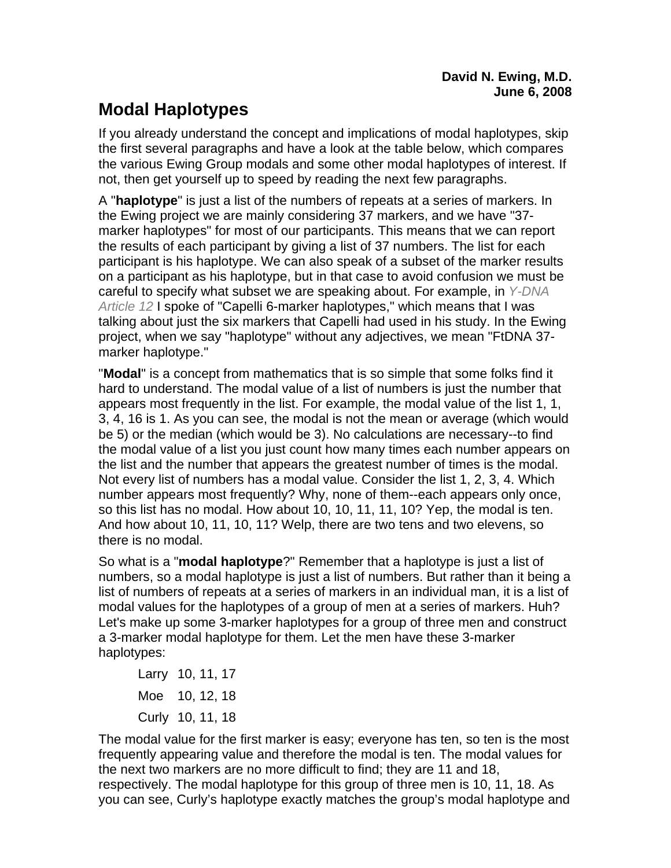## **Modal Haplotypes**

If you already understand the concept and implications of modal haplotypes, skip the first several paragraphs and have a look at the table below, which compares the various Ewing Group modals and some other modal haplotypes of interest. If not, then get yourself up to speed by reading the next few paragraphs.

A "**haplotype**" is just a list of the numbers of repeats at a series of markers. In the Ewing project we are mainly considering 37 markers, and we have "37 marker haplotypes" for most of our participants. This means that we can report the results of each participant by giving a list of 37 numbers. The list for each participant is his haplotype. We can also speak of a subset of the marker results on a participant as his haplotype, but in that case to avoid confusion we must be careful to specify what subset we are speaking about. For example, in *Y-DNA Article 12* I spoke of "Capelli 6-marker haplotypes," which means that I was talking about just the six markers that Capelli had used in his study. In the Ewing project, when we say "haplotype" without any adjectives, we mean "FtDNA 37 marker haplotype."

"**Modal**" is a concept from mathematics that is so simple that some folks find it hard to understand. The modal value of a list of numbers is just the number that appears most frequently in the list. For example, the modal value of the list 1, 1, 3, 4, 16 is 1. As you can see, the modal is not the mean or average (which would be 5) or the median (which would be 3). No calculations are necessary--to find the modal value of a list you just count how many times each number appears on the list and the number that appears the greatest number of times is the modal. Not every list of numbers has a modal value. Consider the list 1, 2, 3, 4. Which number appears most frequently? Why, none of them--each appears only once, so this list has no modal. How about 10, 10, 11, 11, 10? Yep, the modal is ten. And how about 10, 11, 10, 11? Welp, there are two tens and two elevens, so there is no modal.

So what is a "**modal haplotype**?" Remember that a haplotype is just a list of numbers, so a modal haplotype is just a list of numbers. But rather than it being a list of numbers of repeats at a series of markers in an individual man, it is a list of modal values for the haplotypes of a group of men at a series of markers. Huh? Let's make up some 3-marker haplotypes for a group of three men and construct a 3-marker modal haplotype for them. Let the men have these 3-marker haplotypes:

 Larry 10, 11, 17 Moe 10, 12, 18 Curly 10, 11, 18

The modal value for the first marker is easy; everyone has ten, so ten is the most frequently appearing value and therefore the modal is ten. The modal values for the next two markers are no more difficult to find; they are 11 and 18, respectively. The modal haplotype for this group of three men is 10, 11, 18. As you can see, Curly's haplotype exactly matches the group's modal haplotype and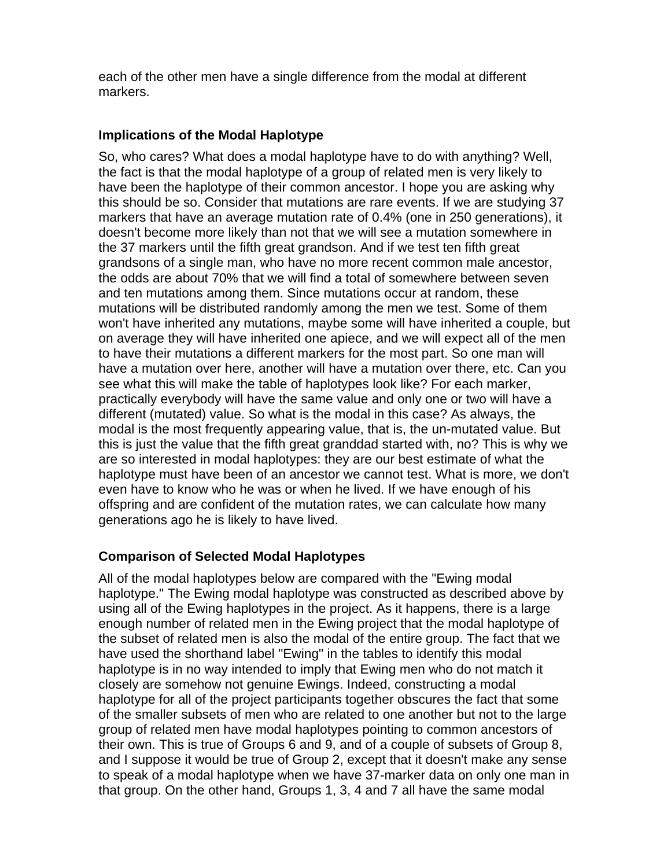each of the other men have a single difference from the modal at different markers.

## **Implications of the Modal Haplotype**

So, who cares? What does a modal haplotype have to do with anything? Well, the fact is that the modal haplotype of a group of related men is very likely to have been the haplotype of their common ancestor. I hope you are asking why this should be so. Consider that mutations are rare events. If we are studying 37 markers that have an average mutation rate of 0.4% (one in 250 generations), it doesn't become more likely than not that we will see a mutation somewhere in the 37 markers until the fifth great grandson. And if we test ten fifth great grandsons of a single man, who have no more recent common male ancestor, the odds are about 70% that we will find a total of somewhere between seven and ten mutations among them. Since mutations occur at random, these mutations will be distributed randomly among the men we test. Some of them won't have inherited any mutations, maybe some will have inherited a couple, but on average they will have inherited one apiece, and we will expect all of the men to have their mutations a different markers for the most part. So one man will have a mutation over here, another will have a mutation over there, etc. Can you see what this will make the table of haplotypes look like? For each marker, practically everybody will have the same value and only one or two will have a different (mutated) value. So what is the modal in this case? As always, the modal is the most frequently appearing value, that is, the un-mutated value. But this is just the value that the fifth great granddad started with, no? This is why we are so interested in modal haplotypes: they are our best estimate of what the haplotype must have been of an ancestor we cannot test. What is more, we don't even have to know who he was or when he lived. If we have enough of his offspring and are confident of the mutation rates, we can calculate how many generations ago he is likely to have lived.

## **Comparison of Selected Modal Haplotypes**

All of the modal haplotypes below are compared with the "Ewing modal haplotype." The Ewing modal haplotype was constructed as described above by using all of the Ewing haplotypes in the project. As it happens, there is a large enough number of related men in the Ewing project that the modal haplotype of the subset of related men is also the modal of the entire group. The fact that we have used the shorthand label "Ewing" in the tables to identify this modal haplotype is in no way intended to imply that Ewing men who do not match it closely are somehow not genuine Ewings. Indeed, constructing a modal haplotype for all of the project participants together obscures the fact that some of the smaller subsets of men who are related to one another but not to the large group of related men have modal haplotypes pointing to common ancestors of their own. This is true of Groups 6 and 9, and of a couple of subsets of Group 8, and I suppose it would be true of Group 2, except that it doesn't make any sense to speak of a modal haplotype when we have 37-marker data on only one man in that group. On the other hand, Groups 1, 3, 4 and 7 all have the same modal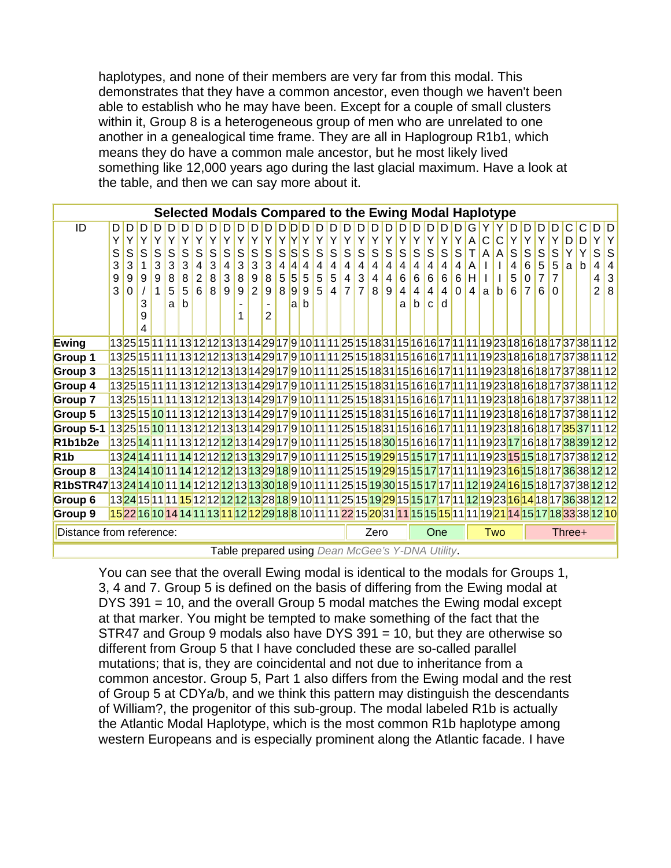haplotypes, and none of their members are very far from this modal. This demonstrates that they have a common ancestor, even though we haven't been able to establish who he may have been. Except for a couple of small clusters within it, Group 8 is a heterogeneous group of men who are unrelated to one another in a genealogical time frame. They are all in Haplogroup R1b1, which means they do have a common male ancestor, but he most likely lived something like 12,000 years ago during the last glacial maximum. Have a look at the table, and then we can say more about it.

|                                                                                                                                    | Selected Modals Compared to the Ewing Modal Haplotype |        |   |        |        |        |                     |        |                     |             |                       |        |        |        |             |        |                              |                     |                |                     |        |        |            |              |        |          |        |              |             |        |        |                     |                     |   |                                                                                                                                                                                                                       |        |                   |
|------------------------------------------------------------------------------------------------------------------------------------|-------------------------------------------------------|--------|---|--------|--------|--------|---------------------|--------|---------------------|-------------|-----------------------|--------|--------|--------|-------------|--------|------------------------------|---------------------|----------------|---------------------|--------|--------|------------|--------------|--------|----------|--------|--------------|-------------|--------|--------|---------------------|---------------------|---|-----------------------------------------------------------------------------------------------------------------------------------------------------------------------------------------------------------------------|--------|-------------------|
| ID                                                                                                                                 | D                                                     | D      | D | D.     |        | D      |                     |        | D                   | D           |                       | D      | D      | חוחו   |             |        | D                            | D                   |                |                     |        |        | D          | D            |        | D        | G      |              |             | D.     | D      | D                   |                     |   | С                                                                                                                                                                                                                     | D      | D                 |
|                                                                                                                                    | Ý                                                     |        |   | Υ      |        |        | Y                   | Y      | Y                   |             | Υ                     | Υ      |        |        |             |        |                              | Y                   |                | Υ                   | Y      | Y      | Υ          | Υ            | Υ      | Y        | А      | $\mathsf{C}$ | C           | Y      | Υ      | Y                   |                     | D | D                                                                                                                                                                                                                     |        | Υ                 |
|                                                                                                                                    | S                                                     | S      | S | S      | S      | S      | S                   | S      | S                   | $\mathsf S$ | S                     | S      | S      | S      | $\mathsf S$ | S      | S                            | $\mathsf S$         | S              | S                   | S      | S      | S          | $\mathsf S$  | S      | S        |        | A            | A           | S      | S      | S                   | S                   | Υ | Y                                                                                                                                                                                                                     | S      | S                 |
|                                                                                                                                    | 3<br>9                                                | 3<br>9 | 9 | 3<br>9 | 3<br>8 | 3<br>8 | 4<br>$\overline{2}$ | 3<br>8 | $\overline{4}$<br>3 | 3<br>8      | 3<br>$\boldsymbol{9}$ | 3<br>8 | 4<br>5 | 4<br>5 | 4<br>5      | 4<br>5 | $\overline{\mathbf{4}}$<br>5 | 4<br>$\overline{4}$ | 4<br>3         | 4<br>$\overline{4}$ | 4<br>4 | 4<br>6 | 4<br>$\,6$ | 4<br>6       | 4<br>6 | 4<br>6   | A<br>H |              |             | 4<br>5 | 6<br>0 | 5<br>$\overline{7}$ | 5<br>$\overline{7}$ | a | b                                                                                                                                                                                                                     | 4<br>4 | 4<br>$\mathbf{3}$ |
|                                                                                                                                    | 3                                                     |        |   |        | 5      | 5      | 6                   | 8      | 9                   | 9           | $\overline{2}$        | 9      | 8      | 9      | 9           | 5      | $\overline{4}$               | $\overline{7}$      | $\overline{7}$ | 8                   | 9      |        | 4          | 4            | 4      | $\Omega$ | 4      | a            | $\mathsf b$ | (6)    | 7      | 6                   | $\Omega$            |   |                                                                                                                                                                                                                       | 2      | 8                 |
|                                                                                                                                    |                                                       |        | 3 |        | a      | h      |                     |        |                     |             |                       |        |        | a b    |             |        |                              |                     |                |                     |        | a      | b          | $\mathbf{C}$ | d      |          |        |              |             |        |        |                     |                     |   |                                                                                                                                                                                                                       |        |                   |
|                                                                                                                                    |                                                       |        | 9 |        |        |        |                     |        |                     |             |                       | 2      |        |        |             |        |                              |                     |                |                     |        |        |            |              |        |          |        |              |             |        |        |                     |                     |   |                                                                                                                                                                                                                       |        |                   |
|                                                                                                                                    |                                                       |        |   |        |        |        |                     |        |                     |             |                       |        |        |        |             |        |                              |                     |                |                     |        |        |            |              |        |          |        |              |             |        |        |                     |                     |   |                                                                                                                                                                                                                       |        |                   |
| Ewing                                                                                                                              |                                                       |        |   |        |        |        |                     |        |                     |             |                       |        |        |        |             |        |                              |                     |                |                     |        |        |            |              |        |          |        |              |             |        |        |                     |                     |   | 13 <mark>25</mark> 15 <b>11111</b> 13 <mark>12</mark> 12 <b>125131429179101111251518311516</b> 1617111119231816181737381112                                                                                           |        |                   |
| Group 1                                                                                                                            |                                                       |        |   |        |        |        |                     |        |                     |             |                       |        |        |        |             |        |                              |                     |                |                     |        |        |            |              |        |          |        |              |             |        |        |                     |                     |   | 13 <mark>25</mark> 15 <mark>11 11 13</mark>  12 12 13 13 14 29 17 9 10 11 11 25 15 18 31 15 16 17 11 11 19 23 18 16 18 17 37 38 11 12                                                                                 |        |                   |
| Group 3                                                                                                                            |                                                       |        |   |        |        |        |                     |        |                     |             |                       |        |        |        |             |        |                              |                     |                |                     |        |        |            |              |        |          |        |              |             |        |        |                     |                     |   | 13 <mark>25</mark> 15 <mark>11 11 13</mark>  12 12 13 13 14 29 17 9 10 11 11 25 15 18 31 15 16 17 11 11 19 23 18 16 18 17 37 38 11 12                                                                                 |        |                   |
| Group 4                                                                                                                            |                                                       |        |   |        |        |        |                     |        |                     |             |                       |        |        |        |             |        |                              |                     |                |                     |        |        |            |              |        |          |        |              |             |        |        |                     |                     |   | 13 <mark>25</mark> 15 <mark>11 11 13 12 12 13 </mark> 13 14 29 17 9 10 11 11 25 15 18 31 15 16 16 17 11 11 19 23 18 16 18 17 37 38 11 12                                                                              |        |                   |
| Group 7                                                                                                                            |                                                       |        |   |        |        |        |                     |        |                     |             |                       |        |        |        |             |        |                              |                     |                |                     |        |        |            |              |        |          |        |              |             |        |        |                     |                     |   | 13 <mark>25</mark> 15 <mark>11 11 13</mark>  12 12 13 13 14 29 17 9 10 11 11 25 15 18 31 15 16 17 11 11 19 23 18 16 18 17 37 38 11 12                                                                                 |        |                   |
| Group 5                                                                                                                            |                                                       |        |   |        |        |        |                     |        |                     |             |                       |        |        |        |             |        |                              |                     |                |                     |        |        |            |              |        |          |        |              |             |        |        |                     |                     |   | 13 <mark>25</mark> 15 <mark>10</mark> 11 <mark>13</mark> 12 <mark>12</mark> 13 <mark>142917</mark> 9101111251518311516161711119231816181737381112                                                                     |        |                   |
| Group 5-1                                                                                                                          |                                                       |        |   |        |        |        |                     |        |                     |             |                       |        |        |        |             |        |                              |                     |                |                     |        |        |            |              |        |          |        |              |             |        |        |                     |                     |   | 13 <mark>25</mark> 15 <mark>10</mark> 11 <mark>13</mark> 12 <mark>12</mark> 1331429179101111251518311516161711119231816181735371112                                                                                   |        |                   |
| R1b1b2e                                                                                                                            |                                                       |        |   |        |        |        |                     |        |                     |             |                       |        |        |        |             |        |                              |                     |                |                     |        |        |            |              |        |          |        |              |             |        |        |                     |                     |   | 13 <mark>25 14 11 11 13 12 12 12 13</mark>  14 29 17 9 10 11 11 25 15 18  <mark>30</mark>  15 16 17 11 11 19 23  <mark>17</mark>  16 18 17  <mark>38 39 12 12 </mark>                                                 |        |                   |
| R <sub>1</sub> b                                                                                                                   |                                                       |        |   |        |        |        |                     |        |                     |             |                       |        |        |        |             |        |                              |                     |                |                     |        |        |            |              |        |          |        |              |             |        |        |                     |                     |   | 13 <mark>24 14 11 11 14</mark>  12  <mark>12 12 13 13 29 17 9 10 11 11 25 15 19 29</mark>  15  <mark>15 17 </mark> 17 11 11 19 23 15 15 15 18 17 37 38  <mark>12</mark>  12                                           |        |                   |
| Group 8                                                                                                                            |                                                       |        |   |        |        |        |                     |        |                     |             |                       |        |        |        |             |        |                              |                     |                |                     |        |        |            |              |        |          |        |              |             |        |        |                     |                     |   | 13 <mark>24 14 10</mark>  11  <mark>14</mark>  12 12  <mark>12 13 13 29 18 9 10 11 11 25 15 19 29</mark>  15  <mark>15 17 </mark> 17 11 11 19 23  <mark>16 15</mark>  18 17  <mark>36</mark>  38  <mark>12</mark>  12 |        |                   |
| R1bSTR47 13 <mark>24 14 10</mark>  11 14 12 12 12 13 330 18 9 10 11 11 25 15 19 30 15 15 17 17 11 12 19 24 16 15 18 17 37 38 12 12 |                                                       |        |   |        |        |        |                     |        |                     |             |                       |        |        |        |             |        |                              |                     |                |                     |        |        |            |              |        |          |        |              |             |        |        |                     |                     |   |                                                                                                                                                                                                                       |        |                   |
| Group 6                                                                                                                            |                                                       |        |   |        |        |        |                     |        |                     |             |                       |        |        |        |             |        |                              |                     |                |                     |        |        |            |              |        |          |        |              |             |        |        |                     |                     |   | 13 <mark>24</mark> 15 <mark>11 11 15</mark> 12 12 12 12 13 28 18 9 10 11 11 25 15 <mark> 19 29</mark>  15 15 17 17 11 12 19 23 16 14 18 17  <mark>36</mark>  38 12 12                                                 |        |                   |
| Group 9                                                                                                                            |                                                       |        |   |        |        |        |                     |        |                     |             |                       |        |        |        |             |        |                              |                     |                |                     |        |        |            |              |        |          |        |              |             |        |        |                     |                     |   | <mark>15</mark> 22 16 10 14 14 11 13 11 12 12 29 18 8 10 11 11 22 15 <mark> 20</mark>  31 11 15 15 15 11 11 19 <mark>21 14 15 17</mark>  18  <mark>33</mark>  38 12 10                                                |        |                   |
| Distance from reference:                                                                                                           |                                                       |        |   |        |        |        |                     |        |                     |             |                       |        |        |        |             |        |                              |                     | Zero           |                     |        |        |            | One          |        |          |        | Two          |             |        |        | Three+              |                     |   |                                                                                                                                                                                                                       |        |                   |

Table prepared using *Dean McGee's Y-DNA Utility*.

You can see that the overall Ewing modal is identical to the modals for Groups 1, 3, 4 and 7. Group 5 is defined on the basis of differing from the Ewing modal at DYS 391 = 10, and the overall Group 5 modal matches the Ewing modal except at that marker. You might be tempted to make something of the fact that the STR47 and Group 9 modals also have DYS 391 = 10, but they are otherwise so different from Group 5 that I have concluded these are so-called parallel mutations; that is, they are coincidental and not due to inheritance from a common ancestor. Group 5, Part 1 also differs from the Ewing modal and the rest of Group 5 at CDYa/b, and we think this pattern may distinguish the descendants of William?, the progenitor of this sub-group. The modal labeled R1b is actually the Atlantic Modal Haplotype, which is the most common R1b haplotype among western Europeans and is especially prominent along the Atlantic facade. I have